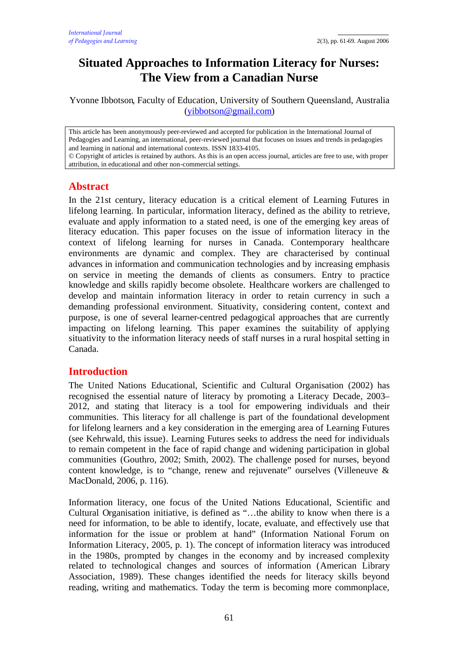# **Situated Approaches to Information Literacy for Nurses: The View from a Canadian Nurse**

Yvonne Ibbotson, Faculty of Education, University of Southern Queensland, Australia (yibbotson@gmail.com)

This article has been anonymously peer-reviewed and accepted for publication in the International Journal of Pedagogies and Learning, an international, peer-reviewed journal that focuses on issues and trends in pedagogies and learning in national and international contexts. ISSN 1833-4105.

© Copyright of articles is retained by authors. As this is an open access journal, articles are free to use, with proper attribution, in educational and other non-commercial settings.

### **Abstract**

In the 21st century, literacy education is a critical element of Learning Futures in lifelong learning. In particular, information literacy, defined as the ability to retrieve, evaluate and apply information to a stated need, is one of the emerging key areas of literacy education. This paper focuses on the issue of information literacy in the context of lifelong learning for nurses in Canada. Contemporary healthcare environments are dynamic and complex. They are characterised by continual advances in information and communication technologies and by increasing emphasis on service in meeting the demands of clients as consumers. Entry to practice knowledge and skills rapidly become obsolete. Healthcare workers are challenged to develop and maintain information literacy in order to retain currency in such a demanding professional environment. Situativity, considering content, context and purpose, is one of several learner-centred pedagogical approaches that are currently impacting on lifelong learning. This paper examines the suitability of applying situativity to the information literacy needs of staff nurses in a rural hospital setting in Canada.

#### **Introduction**

The United Nations Educational, Scientific and Cultural Organisation (2002) has recognised the essential nature of literacy by promoting a Literacy Decade, 2003– 2012, and stating that literacy is a tool for empowering individuals and their communities. This literacy for all challenge is part of the foundational development for lifelong learners and a key consideration in the emerging area of Learning Futures (see Kehrwald, this issue). Learning Futures seeks to address the need for individuals to remain competent in the face of rapid change and widening participation in global communities (Gouthro, 2002; Smith, 2002). The challenge posed for nurses, beyond content knowledge, is to "change, renew and rejuvenate" ourselves (Villeneuve  $\&$ MacDonald, 2006, p. 116).

Information literacy, one focus of the United Nations Educational, Scientific and Cultural Organisation initiative, is defined as "…the ability to know when there is a need for information, to be able to identify, locate, evaluate, and effectively use that information for the issue or problem at hand" (Information National Forum on Information Literacy, 2005, p. 1). The concept of information literacy was introduced in the 1980s, prompted by changes in the economy and by increased complexity related to technological changes and sources of information (American Library Association, 1989). These changes identified the needs for literacy skills beyond reading, writing and mathematics. Today the term is becoming more commonplace,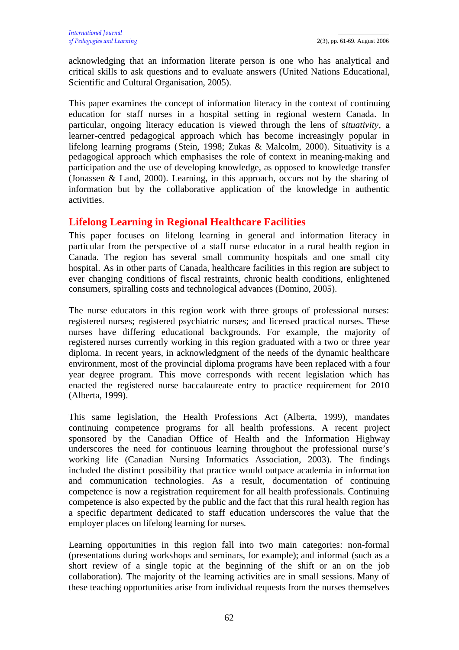acknowledging that an information literate person is one who has analytical and critical skills to ask questions and to evaluate answers (United Nations Educational, Scientific and Cultural Organisation, 2005).

This paper examines the concept of information literacy in the context of continuing education for staff nurses in a hospital setting in regional western Canada. In particular, ongoing literacy education is viewed through the lens of s*ituativity*, a learner-centred pedagogical approach which has become increasingly popular in lifelong learning programs (Stein, 1998; Zukas & Malcolm, 2000). Situativity is a pedagogical approach which emphasises the role of context in meaning-making and participation and the use of developing knowledge, as opposed to knowledge transfer (Jonassen & Land, 2000). Learning, in this approach, occurs not by the sharing of information but by the collaborative application of the knowledge in authentic activities.

## **Lifelong Learning in Regional Healthcare Facilities**

This paper focuses on lifelong learning in general and information literacy in particular from the perspective of a staff nurse educator in a rural health region in Canada. The region has several small community hospitals and one small city hospital. As in other parts of Canada, healthcare facilities in this region are subject to ever changing conditions of fiscal restraints, chronic health conditions, enlightened consumers, spiralling costs and technological advances (Domino, 2005).

The nurse educators in this region work with three groups of professional nurses: registered nurses; registered psychiatric nurses; and licensed practical nurses. These nurses have differing educational backgrounds. For example, the majority of registered nurses currently working in this region graduated with a two or three year diploma. In recent years, in acknowledgment of the needs of the dynamic healthcare environment, most of the provincial diploma programs have been replaced with a four year degree program. This move corresponds with recent legislation which has enacted the registered nurse baccalaureate entry to practice requirement for 2010 (Alberta, 1999).

This same legislation, the Health Professions Act (Alberta, 1999), mandates continuing competence programs for all health professions. A recent project sponsored by the Canadian Office of Health and the Information Highway underscores the need for continuous learning throughout the professional nurse's working life (Canadian Nursing Informatics Association, 2003). The findings included the distinct possibility that practice would outpace academia in information and communication technologies*.* As a result, documentation of continuing competence is now a registration requirement for all health professionals. Continuing competence is also expected by the public and the fact that this rural health region has a specific department dedicated to staff education underscores the value that the employer places on lifelong learning for nurses.

Learning opportunities in this region fall into two main categories: non-formal (presentations during workshops and seminars, for example); and informal (such as a short review of a single topic at the beginning of the shift or an on the job collaboration). The majority of the learning activities are in small sessions. Many of these teaching opportunities arise from individual requests from the nurses themselves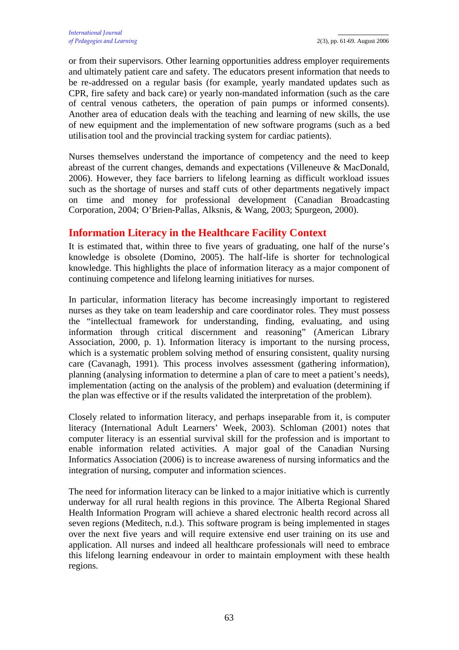or from their supervisors. Other learning opportunities address employer requirements and ultimately patient care and safety. The educators present information that needs to be re-addressed on a regular basis (for example, yearly mandated updates such as CPR, fire safety and back care) or yearly non-mandated information (such as the care of central venous catheters, the operation of pain pumps or informed consents). Another area of education deals with the teaching and learning of new skills, the use of new equipment and the implementation of new software programs (such as a bed utilisation tool and the provincial tracking system for cardiac patients).

Nurses themselves understand the importance of competency and the need to keep abreast of the current changes, demands and expectations (Villeneuve & MacDonald, 2006). However, they face barriers to lifelong learning as difficult workload issues such as the shortage of nurses and staff cuts of other departments negatively impact on time and money for professional development (Canadian Broadcasting Corporation, 2004; O'Brien-Pallas, Alksnis, & Wang, 2003; Spurgeon, 2000).

### **Information Literacy in the Healthcare Facility Context**

It is estimated that, within three to five years of graduating, one half of the nurse's knowledge is obsolete (Domino, 2005). The half-life is shorter for technological knowledge. This highlights the place of information literacy as a major component of continuing competence and lifelong learning initiatives for nurses.

In particular, information literacy has become increasingly important to registered nurses as they take on team leadership and care coordinator roles. They must possess the "intellectual framework for understanding, finding, evaluating, and using information through critical discernment and reasoning" (American Library Association, 2000, p. 1). Information literacy is important to the nursing process, which is a systematic problem solving method of ensuring consistent, quality nursing care (Cavanagh, 1991). This process involves assessment (gathering information), planning (analysing information to determine a plan of care to meet a patient's needs), implementation (acting on the analysis of the problem) and evaluation (determining if the plan was effective or if the results validated the interpretation of the problem).

Closely related to information literacy, and perhaps inseparable from it, is computer literacy (International Adult Learners' Week, 2003). Schloman (2001) notes that computer literacy is an essential survival skill for the profession and is important to enable information related activities. A major goal of the Canadian Nursing Informatics Association (2006) is to increase awareness of nursing informatics and the integration of nursing, computer and information sciences.

The need for information literacy can be linked to a major initiative which is currently underway for all rural health regions in this province. The Alberta Regional Shared Health Information Program will achieve a shared electronic health record across all seven regions (Meditech, n.d.). This software program is being implemented in stages over the next five years and will require extensive end user training on its use and application. All nurses and indeed all healthcare professionals will need to embrace this lifelong learning endeavour in order to maintain employment with these health regions.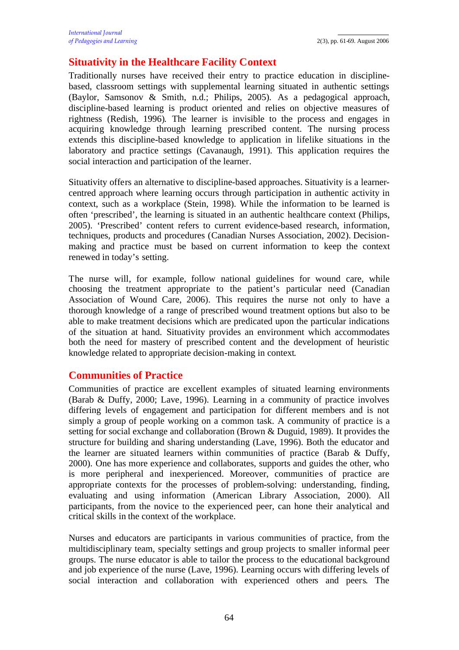# **Situativity in the Healthcare Facility Context**

Traditionally nurses have received their entry to practice education in disciplinebased, classroom settings with supplemental learning situated in authentic settings (Baylor, Samsonov & Smith, n.d.; Philips, 2005). As a pedagogical approach, discipline-based learning is product oriented and relies on objective measures of rightness (Redish, 1996). The learner is invisible to the process and engages in acquiring knowledge through learning prescribed content. The nursing process extends this discipline-based knowledge to application in lifelike situations in the laboratory and practice settings (Cavanaugh, 1991). This application requires the social interaction and participation of the learner.

Situativity offers an alternative to discipline-based approaches. Situativity is a learnercentred approach where learning occurs through participation in authentic activity in context, such as a workplace (Stein, 1998). While the information to be learned is often 'prescribed', the learning is situated in an authentic healthcare context (Philips, 2005). 'Prescribed' content refers to current evidence-based research, information, techniques, products and procedures (Canadian Nurses Association, 2002). Decisionmaking and practice must be based on current information to keep the context renewed in today's setting.

The nurse will, for example, follow national guidelines for wound care, while choosing the treatment appropriate to the patient's particular need (Canadian Association of Wound Care, 2006). This requires the nurse not only to have a thorough knowledge of a range of prescribed wound treatment options but also to be able to make treatment decisions which are predicated upon the particular indications of the situation at hand. Situativity provides an environment which accommodates both the need for mastery of prescribed content and the development of heuristic knowledge related to appropriate decision-making in context.

#### **Communities of Practice**

Communities of practice are excellent examples of situated learning environments (Barab & Duffy, 2000; Lave, 1996). Learning in a community of practice involves differing levels of engagement and participation for different members and is not simply a group of people working on a common task. A community of practice is a setting for social exchange and collaboration (Brown & Duguid, 1989). It provides the structure for building and sharing understanding (Lave, 1996). Both the educator and the learner are situated learners within communities of practice (Barab & Duffy, 2000). One has more experience and collaborates, supports and guides the other, who is more peripheral and inexperienced. Moreover, communities of practice are appropriate contexts for the processes of problem-solving: understanding, finding, evaluating and using information (American Library Association, 2000). All participants, from the novice to the experienced peer, can hone their analytical and critical skills in the context of the workplace.

Nurses and educators are participants in various communities of practice, from the multidisciplinary team, specialty settings and group projects to smaller informal peer groups. The nurse educator is able to tailor the process to the educational background and job experience of the nurse (Lave, 1996). Learning occurs with differing levels of social interaction and collaboration with experienced others and peers. The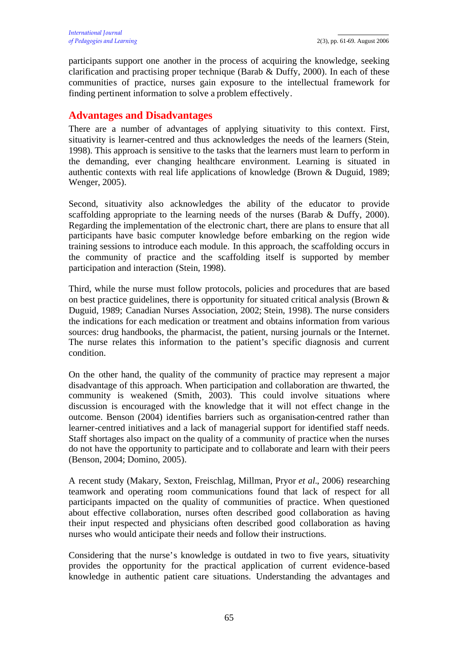participants support one another in the process of acquiring the knowledge, seeking clarification and practising proper technique (Barab & Duffy, 2000). In each of these communities of practice, nurses gain exposure to the intellectual framework for finding pertinent information to solve a problem effectively.

### **Advantages and Disadvantages**

There are a number of advantages of applying situativity to this context. First, situativity is learner-centred and thus acknowledges the needs of the learners (Stein, 1998). This approach is sensitive to the tasks that the learners must learn to perform in the demanding, ever changing healthcare environment. Learning is situated in authentic contexts with real life applications of knowledge (Brown & Duguid, 1989; Wenger, 2005).

Second, situativity also acknowledges the ability of the educator to provide scaffolding appropriate to the learning needs of the nurses (Barab & Duffy, 2000). Regarding the implementation of the electronic chart, there are plans to ensure that all participants have basic computer knowledge before embarking on the region wide training sessions to introduce each module. In this approach, the scaffolding occurs in the community of practice and the scaffolding itself is supported by member participation and interaction (Stein, 1998).

Third, while the nurse must follow protocols, policies and procedures that are based on best practice guidelines, there is opportunity for situated critical analysis (Brown & Duguid, 1989; Canadian Nurses Association, 2002; Stein, 1998). The nurse considers the indications for each medication or treatment and obtains information from various sources: drug handbooks, the pharmacist, the patient, nursing journals or the Internet. The nurse relates this information to the patient's specific diagnosis and current condition.

On the other hand, the quality of the community of practice may represent a major disadvantage of this approach. When participation and collaboration are thwarted, the community is weakened (Smith, 2003). This could involve situations where discussion is encouraged with the knowledge that it will not effect change in the outcome. Benson (2004) identifies barriers such as organisation-centred rather than learner-centred initiatives and a lack of managerial support for identified staff needs. Staff shortages also impact on the quality of a community of practice when the nurses do not have the opportunity to participate and to collaborate and learn with their peers (Benson, 2004; Domino, 2005).

A recent study (Makary, Sexton, Freischlag, Millman, Pryor *et al.*, 2006) researching teamwork and operating room communications found that lack of respect for all participants impacted on the quality of communities of practice. When questioned about effective collaboration, nurses often described good collaboration as having their input respected and physicians often described good collaboration as having nurses who would anticipate their needs and follow their instructions.

Considering that the nurse's knowledge is outdated in two to five years, situativity provides the opportunity for the practical application of current evidence-based knowledge in authentic patient care situations. Understanding the advantages and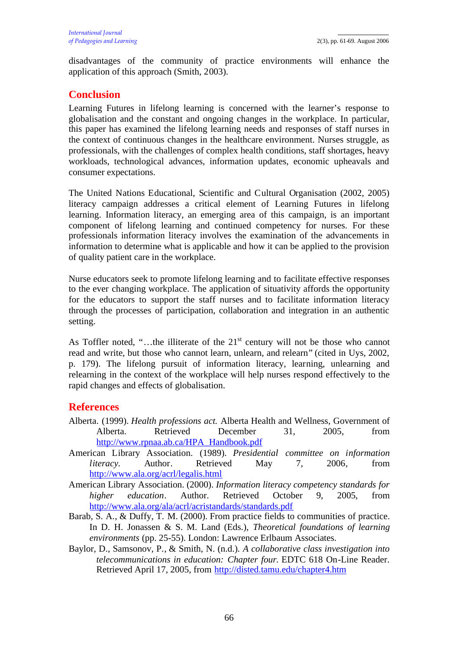disadvantages of the community of practice environments will enhance the application of this approach (Smith, 2003).

# **Conclusion**

Learning Futures in lifelong learning is concerned with the learner's response to globalisation and the constant and ongoing changes in the workplace. In particular, this paper has examined the lifelong learning needs and responses of staff nurses in the context of continuous changes in the healthcare environment. Nurses struggle, as professionals, with the challenges of complex health conditions, staff shortages, heavy workloads, technological advances, information updates, economic upheavals and consumer expectations.

The United Nations Educational, Scientific and Cultural Organisation (2002, 2005) literacy campaign addresses a critical element of Learning Futures in lifelong learning. Information literacy, an emerging area of this campaign, is an important component of lifelong learning and continued competency for nurses. For these professionals information literacy involves the examination of the advancements in information to determine what is applicable and how it can be applied to the provision of quality patient care in the workplace.

Nurse educators seek to promote lifelong learning and to facilitate effective responses to the ever changing workplace. The application of situativity affords the opportunity for the educators to support the staff nurses and to facilitate information literacy through the processes of participation, collaboration and integration in an authentic setting.

As Toffler noted, "...the illiterate of the  $21<sup>st</sup>$  century will not be those who cannot read and write, but those who cannot learn, unlearn, and relearn" (cited in Uys, 2002, p. 179). The lifelong pursuit of information literacy, learning, unlearning and relearning in the context of the workplace will help nurses respond effectively to the rapid changes and effects of globalisation.

#### **References**

- Alberta. (1999). *Health professions act.* Alberta Health and Wellness, Government of Alberta. Retrieved December 31, 2005, from http://www.rpnaa.ab.ca/HPA\_Handbook.pdf
- American Library Association. (1989). *Presidential committee on information literacy.* Author. Retrieved May 7, 2006, from http://www.ala.org/acrl/legalis.html
- American Library Association. (2000). *Information literacy competency standards for higher education*. Author. Retrieved October 9, 2005, from http://www.ala.org/ala/acrl/acristandards/standards.pdf
- Barab, S. A., & Duffy, T. M. (2000). From practice fields to communities of practice. In D. H. Jonassen & S. M. Land (Eds.), *Theoretical foundations of learning environments* (pp. 25-55). London: Lawrence Erlbaum Associates.
- Baylor, D., Samsonov, P., & Smith, N. (n.d.). *A collaborative class investigation into telecommunications in education: Chapter four*. EDTC 618 On-Line Reader. Retrieved April 17, 2005, from http://disted.tamu.edu/chapter4.htm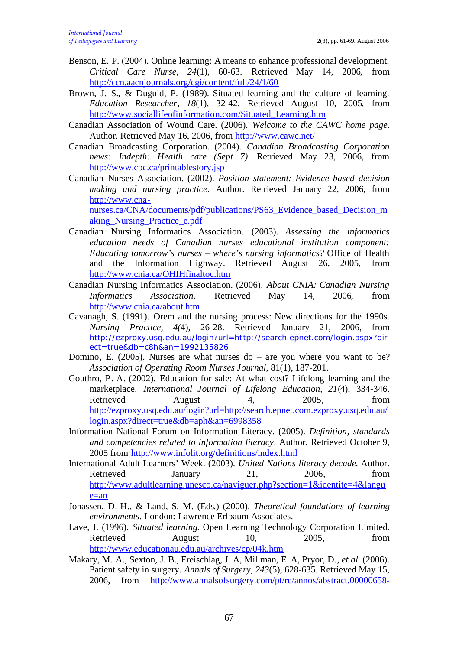- Benson, E. P. (2004). Online learning: A means to enhance professional development. *Critical Care Nurse, 24*(1), 60-63. Retrieved May 14, 2006, from http://ccn.aacnjournals.org/cgi/content/full/24/1/60
- Brown, J. S., & Duguid, P. (1989). Situated learning and the culture of learning. *Education Researcher*, *18*(1), 32-42. Retrieved August 10, 2005, from http://www.sociallifeofinformation.com/Situated\_Learning.htm
- Canadian Association of Wound Care. (2006). *Welcome to the CAWC home page.* Author. Retrieved May 16, 2006, from http://www.cawc.net/
- Canadian Broadcasting Corporation. (2004). *Canadian Broadcasting Corporation news: Indepth: Health care (Sept 7).* Retrieved May 23, 2006, from http://www.cbc.ca/printablestory.jsp
- Canadian Nurses Association. (2002). *Position statement: Evidence based decision making and nursing practice*. Author. Retrieved January 22, 2006, from http://www.cnanurses.ca/CNA/documents/pdf/publications/PS63\_Evidence\_based\_Decision\_m

aking\_Nursing\_Practice\_e.pdf

- Canadian Nursing Informatics Association. (2003). *Assessing the informatics education needs of Canadian nurses educational institution component: Educating tomorrow's nurses – where's nursing informatics?* Office of Health and the Information Highway. Retrieved August 26, 2005, from http://www.cnia.ca/OHIHfinaltoc.htm
- Canadian Nursing Informatics Association. (2006). *About CNIA: Canadian Nursing Informatics Association*. Retrieved May 14, 2006, from http://www.cnia.ca/about.htm
- Cavanagh, S. (1991). Orem and the nursing process: New directions for the 1990s. *Nursing Practice, 4(*4), 26-28. Retrieved January 21, 2006, from http://ezproxy.usq.edu.au/login?url=http://search.epnet.com/login.aspx?dir ect=true&db=c8h&an=1992135826
- Domino, E. (2005). Nurses are what nurses do are you where you want to be? *Association of Operating Room Nurses Journal*, 81(1), 187-201.
- Gouthro, P. A. (2002). Education for sale: At what cost? Lifelong learning and the marketplace. *International Journal of Lifelong Education, 21*(4), 334-346. Retrieved August 4, 2005, from http://ezproxy.usq.edu.au/login?url=http://search.epnet.com.ezproxy.usq.edu.au/ login.aspx?direct=true&db=aph&an=6998358
- Information National Forum on Information Literacy. (2005). *Definition, standards and competencies related to information literacy*. Author. Retrieved October 9, 2005 from http://www.infolit.org/definitions/index.html
- International Adult Learners' Week. (2003). *United Nations literacy decade.* Author. Retrieved January 21, 2006, from http://www.adultlearning.unesco.ca/naviguer.php?section=1&identite=4&langu  $e=an$
- Jonassen, D. H., & Land, S. M. (Eds.) (2000). *Theoretical foundations of learning environments.* London: Lawrence Erlbaum Associates.
- Lave, J. (1996). *Situated learning.* Open Learning Technology Corporation Limited. Retrieved August 10, 2005, from http://www.educationau.edu.au/archives/cp/04k.htm
- Makary, M. A., Sexton, J. B., Freischlag, J. A, Millman, E. A, Pryor, D., *et al.* (2006). Patient safety in surgery. *Annals of Surgery, 243*(5), 628-635. Retrieved May 15, 2006, from http://www.annalsofsurgery.com/pt/re/annos/abstract.00000658-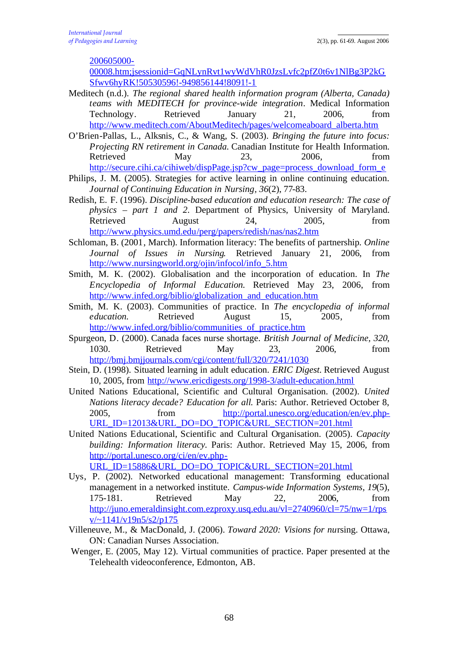200605000-

00008.htm;jsessionid=GqNLynRvt1wyWdVhR0JzsLvfc2pfZ0t6v1NlBg3P2kG Sfwv6hyRK!50530596!-949856144!8091!-1

- Meditech (n.d.). *The regional shared health information program (Alberta, Canada) teams with MEDITECH for province-wide integration*. Medical Information Technology. Retrieved January 21, 2006, from http://www.meditech.com/AboutMeditech/pages/welcomeaboard\_alberta.htm
- O'Brien-Pallas, L., Alksnis, C., & Wang, S. (2003). *Bringing the future into focus: Projecting RN retirement in Canada.* Canadian Institute for Health Information. Retrieved May 23, 2006, from http://secure.cihi.ca/cihiweb/dispPage.jsp?cw\_page=process\_download\_form\_e
- Philips, J. M. (2005). Strategies for active learning in online continuing education. *Journal of Continuing Education in Nursing, 36*(2), 77-83.
- Redish, E. F. (1996). *Discipline-based education and education research: The case of physics – part 1 and 2*. Department of Physics, University of Maryland. Retrieved August 24, 2005, from http://www.physics.umd.edu/perg/papers/redish/nas/nas2.htm
- Schloman, B. (2001, March). Information literacy: The benefits of partnership*. Online Journal of Issues in Nursing.* Retrieved January 21, 2006, from http://www.nursingworld.org/ojin/infocol/info\_5.htm
- Smith, M. K. (2002). Globalisation and the incorporation of education. In *The Encyclopedia of Informal Education.* Retrieved May 23, 2006, from http://www.infed.org/biblio/globalization\_and\_education.htm
- Smith, M. K. (2003). Communities of practice. In *The encyclopedia of informal education.* Retrieved August 15, 2005, from http://www.infed.org/biblio/communities\_of\_practice.htm
- Spurgeon, D. (2000). Canada faces nurse shortage. *British Journal of Medicine, 320*, 1030. Retrieved May 23, 2006, from http://bmj.bmjjournals.com/cgi/content/full/320/7241/1030
- Stein, D. (1998). Situated learning in adult education. *ERIC Digest.* Retrieved August 10, 2005, from http://www.ericdigests.org/1998-3/adult-education.html
- United Nations Educational, Scientific and Cultural Organisation. (2002). *United Nations literacy decade? Education for all*. Paris: Author. Retrieved October 8, 2005, from http://portal.unesco.org/education/en/ev.php-URL\_ID=12013&URL\_DO=DO\_TOPIC&URL\_SECTION=201.html
- United Nations Educational, Scientific and Cultural Organisation. (2005). *Capacity building: Information literacy.* Paris: Author. Retrieved May 15, 2006, from http://portal.unesco.org/ci/en/ev.php-

URL\_ID=15886&URL\_DO=DO\_TOPIC&URL\_SECTION=201.html

- Uys, P. (2002). Networked educational management: Transforming educational management in a networked institute. *Campus-wide Information Systems, 19*(5), 175-181. Retrieved May 22, 2006, from http://juno.emeraldinsight.com.ezproxy.usq.edu.au/vl=2740960/cl=75/nw=1/rps  $v/-1141/v19n5/s2/p175$
- Villeneuve, M., & MacDonald, J. (2006). *Toward 2020: Visions for nu*rsing. Ottawa, ON: Canadian Nurses Association.
- Wenger, E. (2005, May 12). Virtual communities of practice. Paper presented at the Telehealth videoconference, Edmonton, AB.